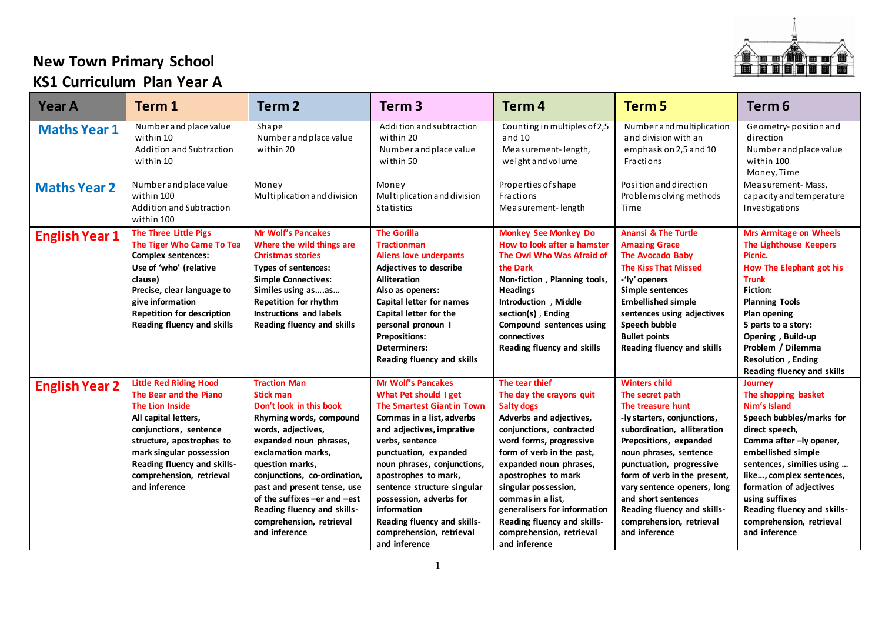

## **New Town Primary School**

## **KS1 Curriculum Plan Year A**

| <b>Year A</b>         | Term 1                                                                                                                                                                                                                                                                   | Term <sub>2</sub>                                                                                                                                                                                                                                                                                                                                                | Term <sub>3</sub>                                                                                                                                                                                                                                                                                                                                                                                         | Term <sub>4</sub>                                                                                                                                                                                                                                                                                                                                                                        | Term <sub>5</sub>                                                                                                                                                                                                                                                                                                                                                            | Term <sub>6</sub>                                                                                                                                                                                                                                                                                                               |
|-----------------------|--------------------------------------------------------------------------------------------------------------------------------------------------------------------------------------------------------------------------------------------------------------------------|------------------------------------------------------------------------------------------------------------------------------------------------------------------------------------------------------------------------------------------------------------------------------------------------------------------------------------------------------------------|-----------------------------------------------------------------------------------------------------------------------------------------------------------------------------------------------------------------------------------------------------------------------------------------------------------------------------------------------------------------------------------------------------------|------------------------------------------------------------------------------------------------------------------------------------------------------------------------------------------------------------------------------------------------------------------------------------------------------------------------------------------------------------------------------------------|------------------------------------------------------------------------------------------------------------------------------------------------------------------------------------------------------------------------------------------------------------------------------------------------------------------------------------------------------------------------------|---------------------------------------------------------------------------------------------------------------------------------------------------------------------------------------------------------------------------------------------------------------------------------------------------------------------------------|
| <b>Maths Year 1</b>   | Number and place value<br>within 10<br>Addition and Subtraction<br>within 10                                                                                                                                                                                             | Shape<br>Number and place value<br>within 20                                                                                                                                                                                                                                                                                                                     | Addition and subtraction<br>within 20<br>Number and place value<br>within 50                                                                                                                                                                                                                                                                                                                              | Counting in multiples of 2,5<br>and 10<br>Measurement-length,<br>weight and volume                                                                                                                                                                                                                                                                                                       | Number and multiplication<br>and division with an<br>emphasis on 2,5 and 10<br>Fractions                                                                                                                                                                                                                                                                                     | Geometry-position and<br>direction<br>Number and place value<br>within 100<br>Money, Time                                                                                                                                                                                                                                       |
| <b>Maths Year 2</b>   | Number and place value<br>within 100<br>Addition and Subtraction<br>within 100                                                                                                                                                                                           | Money<br>Multiplication and division                                                                                                                                                                                                                                                                                                                             | Money<br>Multiplication and division<br>Statistics                                                                                                                                                                                                                                                                                                                                                        | Properties of shape<br>Fractions<br>Measurement-length                                                                                                                                                                                                                                                                                                                                   | Position and direction<br>Problem solving methods<br>Time                                                                                                                                                                                                                                                                                                                    | Measurement-Mass,<br>ca pacity and temperature<br>Investigations                                                                                                                                                                                                                                                                |
| <b>English Year 1</b> | The Three Little Pigs<br>The Tiger Who Came To Tea<br><b>Complex sentences:</b><br>Use of 'who' (relative<br>clause)<br>Precise, clear language to<br>give information<br><b>Repetition for description</b><br><b>Reading fluency and skills</b>                         | Mr Wolf's Pancakes<br>Where the wild things are<br><b>Christmas stories</b><br>Types of sentences:<br><b>Simple Connectives:</b><br>Similes using asas<br>Repetition for rhythm<br><b>Instructions and labels</b><br>Reading fluency and skills                                                                                                                  | <b>The Gorilla</b><br><b>Tractionman</b><br><b>Aliens love underpants</b><br><b>Adjectives to describe</b><br><b>Alliteration</b><br>Also as openers:<br>Capital letter for names<br>Capital letter for the<br>personal pronoun I<br><b>Prepositions:</b><br>Determiners:<br>Reading fluency and skills                                                                                                   | <b>Monkey See Monkey Do</b><br>How to look after a hamster<br>The Owl Who Was Afraid of<br>the Dark<br>Non-fiction, Planning tools,<br><b>Headings</b><br>Introduction, Middle<br>section(s), Ending<br>Compound sentences using<br>connectives<br><b>Reading fluency and skills</b>                                                                                                     | <b>Anansi &amp; The Turtle</b><br><b>Amazing Grace</b><br><b>The Avocado Baby</b><br><b>The Kiss That Missed</b><br>-'ly' openers<br>Simple sentences<br><b>Embellished simple</b><br>sentences using adjectives<br>Speech bubble<br><b>Bullet points</b><br><b>Reading fluency and skills</b>                                                                               | <b>Mrs Armitage on Wheels</b><br><b>The Lighthouse Keepers</b><br>Picnic.<br>How The Elephant got his<br><b>Trunk</b><br><b>Fiction:</b><br><b>Planning Tools</b><br>Plan opening<br>5 parts to a story:<br>Opening, Build-up<br>Problem / Dilemma<br>Resolution, Ending<br><b>Reading fluency and skills</b>                   |
| <b>English Year 2</b> | <b>Little Red Riding Hood</b><br>The Bear and the Piano<br><b>The Lion Inside</b><br>All capital letters,<br>conjunctions, sentence<br>structure, apostrophes to<br>mark singular possession<br>Reading fluency and skills-<br>comprehension, retrieval<br>and inference | <b>Traction Man</b><br><b>Stick man</b><br>Don't look in this book<br>Rhyming words, compound<br>words, adjectives,<br>expanded noun phrases,<br>exclamation marks,<br>question marks,<br>conjunctions, co-ordination,<br>past and present tense, use<br>of the suffixes-er and -est<br>Reading fluency and skills-<br>comprehension, retrieval<br>and inference | <b>Mr Wolf's Pancakes</b><br>What Pet should I get<br><b>The Smartest Giant in Town</b><br>Commas in a list, adverbs<br>and adjectives, imprative<br>verbs, sentence<br>punctuation, expanded<br>noun phrases, conjunctions,<br>apostrophes to mark,<br>sentence structure singular<br>possession, adverbs for<br>information<br>Reading fluency and skills-<br>comprehension, retrieval<br>and inference | The tear thief<br>The day the crayons quit<br><b>Salty dogs</b><br>Adverbs and adjectives,<br>conjunctions, contracted<br>word forms, progressive<br>form of verb in the past,<br>expanded noun phrases,<br>apostrophes to mark<br>singular possession,<br>commas in a list.<br>generalisers for information<br>Reading fluency and skills-<br>comprehension, retrieval<br>and inference | <b>Winters child</b><br>The secret path<br>The treasure hunt<br>-ly starters, conjunctions,<br>subordination, alliteration<br>Prepositions, expanded<br>noun phrases, sentence<br>punctuation, progressive<br>form of verb in the present,<br>vary sentence openers, long<br>and short sentences<br>Reading fluency and skills-<br>comprehension, retrieval<br>and inference | Journey<br>The shopping basket<br>Nim's Island<br>Speech bubbles/marks for<br>direct speech,<br>Comma after -ly opener,<br>embellished simple<br>sentences, similies using<br>like, complex sentences,<br>formation of adjectives<br>using suffixes<br>Reading fluency and skills-<br>comprehension, retrieval<br>and inference |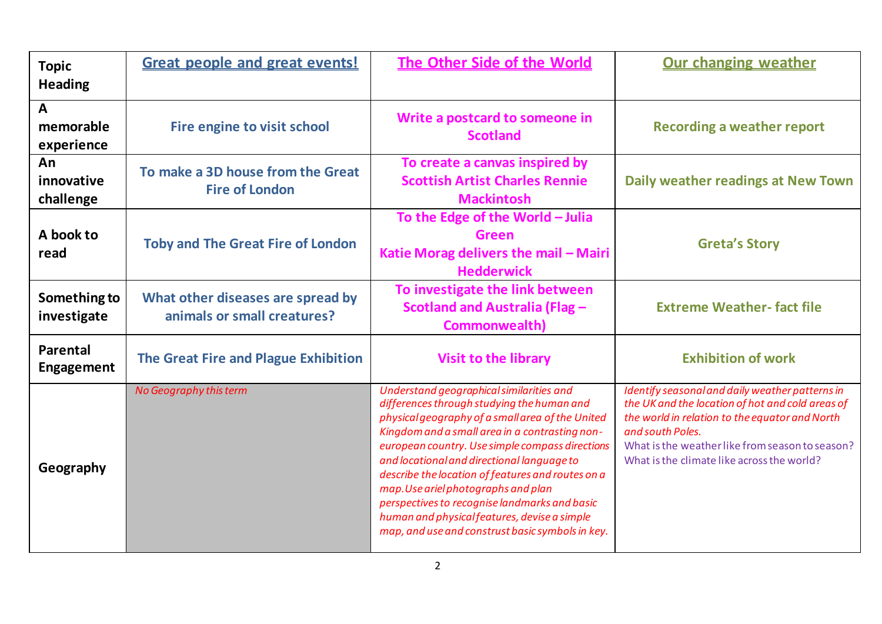| <b>Topic</b><br><b>Heading</b>          | <b>Great people and great events!</b>                            | <b>The Other Side of the World</b>                                                                                                                                                                                                                                                                                                                                                                                                                                                                                                             | <b>Our changing weather</b>                                                                                                                                                                                                                                                |  |
|-----------------------------------------|------------------------------------------------------------------|------------------------------------------------------------------------------------------------------------------------------------------------------------------------------------------------------------------------------------------------------------------------------------------------------------------------------------------------------------------------------------------------------------------------------------------------------------------------------------------------------------------------------------------------|----------------------------------------------------------------------------------------------------------------------------------------------------------------------------------------------------------------------------------------------------------------------------|--|
| $\mathbf{A}$<br>memorable<br>experience | Fire engine to visit school                                      | Write a postcard to someone in<br><b>Scotland</b>                                                                                                                                                                                                                                                                                                                                                                                                                                                                                              | <b>Recording a weather report</b>                                                                                                                                                                                                                                          |  |
| An<br>innovative<br>challenge           | To make a 3D house from the Great<br><b>Fire of London</b>       | To create a canvas inspired by<br><b>Scottish Artist Charles Rennie</b><br><b>Mackintosh</b>                                                                                                                                                                                                                                                                                                                                                                                                                                                   | Daily weather readings at New Town                                                                                                                                                                                                                                         |  |
| A book to<br>read                       | <b>Toby and The Great Fire of London</b>                         | To the Edge of the World - Julia<br><b>Green</b><br>Katie Morag delivers the mail - Mairi<br><b>Hedderwick</b>                                                                                                                                                                                                                                                                                                                                                                                                                                 | <b>Greta's Story</b>                                                                                                                                                                                                                                                       |  |
| Something to<br>investigate             | What other diseases are spread by<br>animals or small creatures? | To investigate the link between<br>Scotland and Australia (Flag -<br>Commonwealth)                                                                                                                                                                                                                                                                                                                                                                                                                                                             | <b>Extreme Weather-fact file</b>                                                                                                                                                                                                                                           |  |
| <b>Parental</b><br><b>Engagement</b>    | The Great Fire and Plague Exhibition                             | <b>Visit to the library</b>                                                                                                                                                                                                                                                                                                                                                                                                                                                                                                                    | <b>Exhibition of work</b>                                                                                                                                                                                                                                                  |  |
| Geography                               | No Geography this term                                           | Understand geographical similarities and<br>differences through studying the human and<br>physical geography of a small area of the United<br>Kingdom and a small area in a contrasting non-<br>european country. Use simple compass directions<br>and locational and directional language to<br>describe the location of features and routes on a<br>map. Use ariel photographs and plan<br>perspectives to recognise landmarks and basic<br>human and physical features, devise a simple<br>map, and use and construst basic symbols in key. | Identify seasonal and daily weather patterns in<br>the UK and the location of hot and cold areas of<br>the world in relation to the equator and North<br>and south Poles.<br>What is the weather like from season to season?<br>What is the climate like across the world? |  |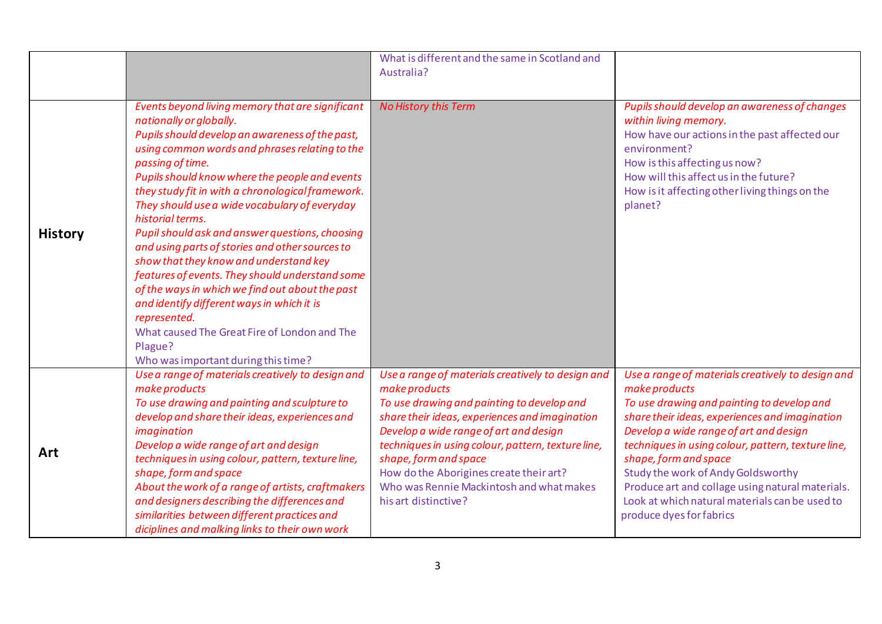|                |                                                                                                                                                                                                                                                                                                                                                                                                                                                                                                                                                                                                                                                                                                                                                                                                        | What is different and the same in Scotland and<br>Australia?                                                                                                                                                                                                                                                                                                                                               |                                                                                                                                                                                                                                                                                                                                                                                                                                                                     |
|----------------|--------------------------------------------------------------------------------------------------------------------------------------------------------------------------------------------------------------------------------------------------------------------------------------------------------------------------------------------------------------------------------------------------------------------------------------------------------------------------------------------------------------------------------------------------------------------------------------------------------------------------------------------------------------------------------------------------------------------------------------------------------------------------------------------------------|------------------------------------------------------------------------------------------------------------------------------------------------------------------------------------------------------------------------------------------------------------------------------------------------------------------------------------------------------------------------------------------------------------|---------------------------------------------------------------------------------------------------------------------------------------------------------------------------------------------------------------------------------------------------------------------------------------------------------------------------------------------------------------------------------------------------------------------------------------------------------------------|
|                |                                                                                                                                                                                                                                                                                                                                                                                                                                                                                                                                                                                                                                                                                                                                                                                                        |                                                                                                                                                                                                                                                                                                                                                                                                            |                                                                                                                                                                                                                                                                                                                                                                                                                                                                     |
| <b>History</b> | Events beyond living memory that are significant<br>nationally or globally.<br>Pupils should develop an awareness of the past,<br>using common words and phrases relating to the<br>passing of time.<br>Pupils should know where the people and events<br>they study fit in with a chronological framework.<br>They should use a wide vocabulary of everyday<br>historial terms.<br>Pupil should ask and answer questions, choosing<br>and using parts of stories and other sources to<br>show that they know and understand key<br>features of events. They should understand some<br>of the ways in which we find out about the past<br>and identify different ways in which it is<br>represented.<br>What caused The Great Fire of London and The<br>Plague?<br>Who was important during this time? | No History this Term                                                                                                                                                                                                                                                                                                                                                                                       | Pupils should develop an awareness of changes<br>within living memory.<br>How have our actions in the past affected our<br>environment?<br>How is this affecting us now?<br>How will this affect us in the future?<br>How is it affecting other living things on the<br>planet?                                                                                                                                                                                     |
| Art            | Use a range of materials creatively to design and<br>make products<br>To use drawing and painting and sculpture to<br>develop and share their ideas, experiences and<br>imagination<br>Develop a wide range of art and design<br>techniques in using colour, pattern, texture line,<br>shape, form and space<br>About the work of a range of artists, craftmakers<br>and designers describing the differences and<br>similarities between different practices and<br>diciplines and malking links to their own work                                                                                                                                                                                                                                                                                    | Use a range of materials creatively to design and<br>make products<br>To use drawing and painting to develop and<br>share their ideas, experiences and imagination<br>Develop a wide range of art and design<br>techniques in using colour, pattern, texture line,<br>shape, form and space<br>How do the Aborigines create their art?<br>Who was Rennie Mackintosh and what makes<br>his art distinctive? | Use a range of materials creatively to design and<br>make products<br>To use drawing and painting to develop and<br>share their ideas, experiences and imagination<br>Develop a wide range of art and design<br>techniques in using colour, pattern, texture line,<br>shape, form and space<br>Study the work of Andy Goldsworthy<br>Produce art and collage using natural materials.<br>Look at which natural materials can be used to<br>produce dyes for fabrics |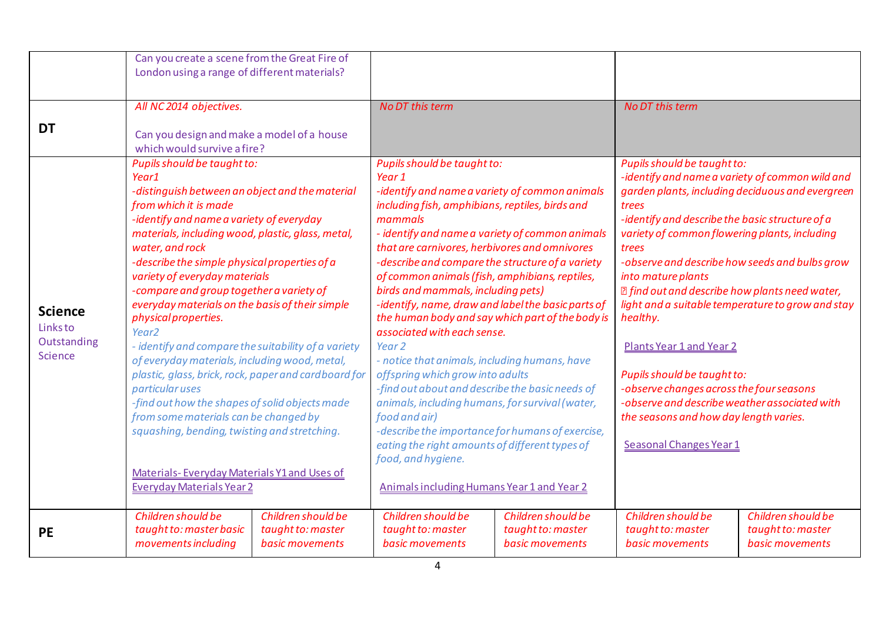|                                                      | Can you create a scene from the Great Fire of<br>London using a range of different materials?                                                                                                                                                                                                                                                                                                                                                                                                                                                                                                                                                                                                                                                                                                                                                                                              |                                                            |                                                                                                                                                                                                                                                                                                                                                                                                                                                                                                                                                                                                                                                                                                                                                                                                                                                                                                                                                           |                                                            |                                                                                                                                                                                                                                                                                                                                                                                                                                                                                                                                                |                                                                                                                                                          |
|------------------------------------------------------|--------------------------------------------------------------------------------------------------------------------------------------------------------------------------------------------------------------------------------------------------------------------------------------------------------------------------------------------------------------------------------------------------------------------------------------------------------------------------------------------------------------------------------------------------------------------------------------------------------------------------------------------------------------------------------------------------------------------------------------------------------------------------------------------------------------------------------------------------------------------------------------------|------------------------------------------------------------|-----------------------------------------------------------------------------------------------------------------------------------------------------------------------------------------------------------------------------------------------------------------------------------------------------------------------------------------------------------------------------------------------------------------------------------------------------------------------------------------------------------------------------------------------------------------------------------------------------------------------------------------------------------------------------------------------------------------------------------------------------------------------------------------------------------------------------------------------------------------------------------------------------------------------------------------------------------|------------------------------------------------------------|------------------------------------------------------------------------------------------------------------------------------------------------------------------------------------------------------------------------------------------------------------------------------------------------------------------------------------------------------------------------------------------------------------------------------------------------------------------------------------------------------------------------------------------------|----------------------------------------------------------------------------------------------------------------------------------------------------------|
| <b>DT</b>                                            | All NC 2014 objectives.<br>Can you design and make a model of a house<br>which would survive a fire?                                                                                                                                                                                                                                                                                                                                                                                                                                                                                                                                                                                                                                                                                                                                                                                       |                                                            | <b>No DT this term</b>                                                                                                                                                                                                                                                                                                                                                                                                                                                                                                                                                                                                                                                                                                                                                                                                                                                                                                                                    |                                                            | <b>No DT this term</b>                                                                                                                                                                                                                                                                                                                                                                                                                                                                                                                         |                                                                                                                                                          |
| <b>Science</b><br>Links to<br>Outstanding<br>Science | Pupils should be taught to:<br>Year1<br>-distinguish between an object and the material<br>from which it is made<br>-identify and name a variety of everyday<br>materials, including wood, plastic, glass, metal,<br>water, and rock<br>-describe the simple physical properties of a<br>variety of everyday materials<br>-compare and group together a variety of<br>everyday materials on the basis of their simple<br>physical properties.<br>Year <sub>2</sub><br>- identify and compare the suitability of a variety<br>of everyday materials, including wood, metal,<br>plastic, glass, brick, rock, paper and cardboard for<br><i>particular uses</i><br>-find out how the shapes of solid objects made<br>from some materials can be changed by<br>squashing, bending, twisting and stretching.<br>Materials-Everyday Materials Y1 and Uses of<br><b>Everyday Materials Year 2</b> |                                                            | Pupils should be taught to:<br>Year 1<br>-identify and name a variety of common animals<br>including fish, amphibians, reptiles, birds and<br>mammals<br>- identify and name a variety of common animals<br>that are carnivores, herbivores and omnivores<br>-describe and compare the structure of a variety<br>of common animals (fish, amphibians, reptiles,<br>birds and mammals, including pets)<br>-identify, name, draw and label the basic parts of<br>the human body and say which part of the body is<br>associated with each sense.<br>Year <sub>2</sub><br>- notice that animals, including humans, have<br>offspring which grow into adults<br>-find out about and describe the basic needs of<br>animals, including humans, for survival (water,<br>food and air)<br>-describe the importance for humans of exercise,<br>eating the right amounts of different types of<br>food, and hygiene.<br>Animals including Humans Year 1 and Year 2 |                                                            | Pupils should be taught to:<br>trees<br>-identify and describe the basic structure of a<br>variety of common flowering plants, including<br>trees<br>-observe and describe how seeds and bulbs grow<br>into mature plants<br><b>sqrt</b> <i>I</i> find out and describe how plants need water,<br>healthy.<br>Plants Year 1 and Year 2<br>Pupils should be taught to:<br>-observe changes across the four seasons<br>-observe and describe weather associated with<br>the seasons and how day length varies.<br><b>Seasonal Changes Year 1</b> | -identify and name a variety of common wild and<br>garden plants, including deciduous and evergreen<br>light and a suitable temperature to grow and stay |
| <b>PE</b>                                            | Children should be<br>taught to: master basic<br>movements including                                                                                                                                                                                                                                                                                                                                                                                                                                                                                                                                                                                                                                                                                                                                                                                                                       | Children should be<br>taught to: master<br>basic movements | Children should be<br>taught to: master<br>basic movements                                                                                                                                                                                                                                                                                                                                                                                                                                                                                                                                                                                                                                                                                                                                                                                                                                                                                                | Children should be<br>taught to: master<br>basic movements | Children should be<br>taught to: master<br>basic movements                                                                                                                                                                                                                                                                                                                                                                                                                                                                                     | Children should be<br>taught to: master<br>basic movements                                                                                               |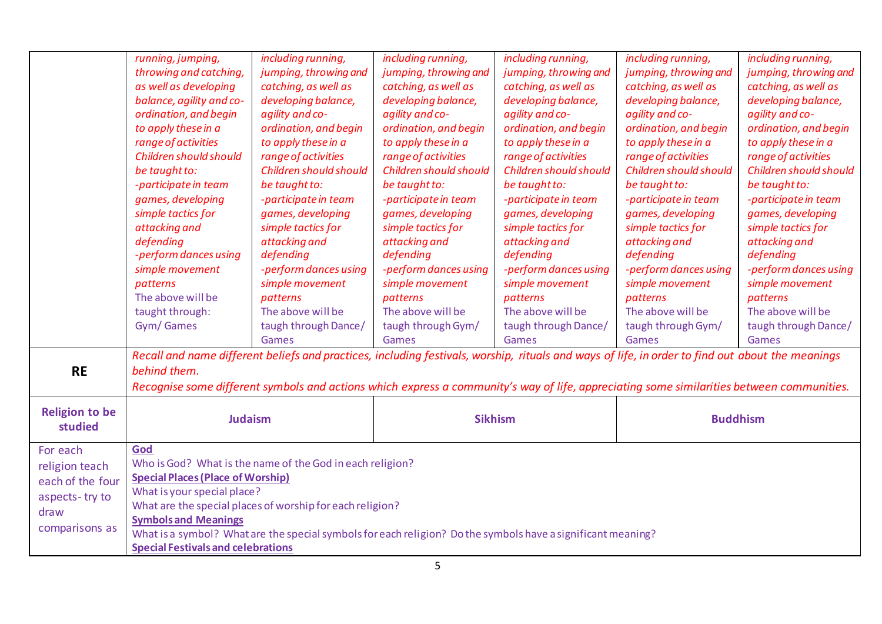|                       | running, jumping,                                                                                                                                | including running,                                        | including running,                                                                                           | including running,     | including running,                                                                                                                        | including running,     |  |  |
|-----------------------|--------------------------------------------------------------------------------------------------------------------------------------------------|-----------------------------------------------------------|--------------------------------------------------------------------------------------------------------------|------------------------|-------------------------------------------------------------------------------------------------------------------------------------------|------------------------|--|--|
|                       | throwing and catching,                                                                                                                           | jumping, throwing and                                     | jumping, throwing and                                                                                        | jumping, throwing and  | jumping, throwing and                                                                                                                     | jumping, throwing and  |  |  |
|                       | as well as developing                                                                                                                            | catching, as well as                                      | catching, as well as                                                                                         | catching, as well as   | catching, as well as                                                                                                                      | catching, as well as   |  |  |
|                       | balance, agility and co-                                                                                                                         | developing balance,                                       | developing balance,                                                                                          | developing balance,    | developing balance,                                                                                                                       | developing balance,    |  |  |
|                       | ordination, and begin                                                                                                                            | agility and co-                                           | agility and co-                                                                                              | agility and co-        | agility and co-                                                                                                                           | agility and co-        |  |  |
|                       | to apply these in a                                                                                                                              | ordination, and begin                                     | ordination, and begin                                                                                        | ordination, and begin  | ordination, and begin                                                                                                                     | ordination, and begin  |  |  |
|                       | range of activities                                                                                                                              | to apply these in a                                       | to apply these in a                                                                                          | to apply these in a    | to apply these in a                                                                                                                       | to apply these in a    |  |  |
|                       | Children should should                                                                                                                           | range of activities                                       | range of activities                                                                                          | range of activities    | range of activities                                                                                                                       | range of activities    |  |  |
|                       | be taught to:                                                                                                                                    | Children should should                                    | Children should should                                                                                       | Children should should | Children should should                                                                                                                    | Children should should |  |  |
|                       | -participate in team                                                                                                                             | be taught to:                                             | be taught to:                                                                                                | be taught to:          | be taught to:                                                                                                                             | be taught to:          |  |  |
|                       | games, developing                                                                                                                                | -participate in team                                      | -participate in team                                                                                         | -participate in team   | -participate in team                                                                                                                      | -participate in team   |  |  |
|                       | simple tactics for                                                                                                                               | games, developing                                         | games, developing                                                                                            | games, developing      | games, developing                                                                                                                         | games, developing      |  |  |
|                       | attacking and                                                                                                                                    | simple tactics for                                        | simple tactics for                                                                                           | simple tactics for     | simple tactics for                                                                                                                        | simple tactics for     |  |  |
|                       | defending                                                                                                                                        | attacking and                                             | attacking and                                                                                                | attacking and          | attacking and                                                                                                                             | attacking and          |  |  |
|                       | -perform dances using                                                                                                                            | defending                                                 | defending                                                                                                    | defending              | defending                                                                                                                                 | defending              |  |  |
|                       | simple movement                                                                                                                                  | -perform dances using                                     | -perform dances using                                                                                        | -perform dances using  | -perform dances using                                                                                                                     | -perform dances using  |  |  |
|                       | patterns                                                                                                                                         | simple movement                                           | simple movement                                                                                              | simple movement        | simple movement                                                                                                                           | simple movement        |  |  |
|                       | The above will be                                                                                                                                | patterns                                                  | patterns                                                                                                     | patterns               | patterns                                                                                                                                  | patterns               |  |  |
|                       | taught through:                                                                                                                                  | The above will be                                         | The above will be                                                                                            | The above will be      | The above will be                                                                                                                         | The above will be      |  |  |
|                       | Gym/Games                                                                                                                                        | taugh through Dance/                                      | taugh through Gym/                                                                                           | taugh through Dance/   | taugh through Gym/                                                                                                                        | taugh through Dance/   |  |  |
|                       |                                                                                                                                                  | Games                                                     | Games                                                                                                        | Games                  | Games                                                                                                                                     | Games                  |  |  |
|                       |                                                                                                                                                  |                                                           |                                                                                                              |                        |                                                                                                                                           |                        |  |  |
|                       | Recall and name different beliefs and practices, including festivals, worship, rituals and ways of life, in order to find out about the meanings |                                                           |                                                                                                              |                        |                                                                                                                                           |                        |  |  |
| <b>RE</b>             | behind them.                                                                                                                                     |                                                           |                                                                                                              |                        |                                                                                                                                           |                        |  |  |
|                       |                                                                                                                                                  |                                                           |                                                                                                              |                        | Recognise some different symbols and actions which express a community's way of life, appreciating some similarities between communities. |                        |  |  |
| <b>Religion to be</b> |                                                                                                                                                  |                                                           |                                                                                                              |                        |                                                                                                                                           |                        |  |  |
| studied               | <b>Sikhism</b><br><b>Buddhism</b><br><b>Judaism</b>                                                                                              |                                                           |                                                                                                              |                        |                                                                                                                                           |                        |  |  |
|                       |                                                                                                                                                  |                                                           |                                                                                                              |                        |                                                                                                                                           |                        |  |  |
| For each              | God                                                                                                                                              |                                                           |                                                                                                              |                        |                                                                                                                                           |                        |  |  |
| religion teach        |                                                                                                                                                  | Who is God? What is the name of the God in each religion? |                                                                                                              |                        |                                                                                                                                           |                        |  |  |
| each of the four      | <b>Special Places (Place of Worship)</b>                                                                                                         |                                                           |                                                                                                              |                        |                                                                                                                                           |                        |  |  |
| aspects-try to        | What is your special place?                                                                                                                      |                                                           |                                                                                                              |                        |                                                                                                                                           |                        |  |  |
| draw                  | What are the special places of worship for each religion?                                                                                        |                                                           |                                                                                                              |                        |                                                                                                                                           |                        |  |  |
| comparisons as        | <b>Symbols and Meanings</b>                                                                                                                      |                                                           |                                                                                                              |                        |                                                                                                                                           |                        |  |  |
|                       |                                                                                                                                                  |                                                           | What is a symbol? What are the special symbols for each religion? Do the symbols have a significant meaning? |                        |                                                                                                                                           |                        |  |  |
|                       | <b>Special Festivals and celebrations</b>                                                                                                        |                                                           |                                                                                                              |                        |                                                                                                                                           |                        |  |  |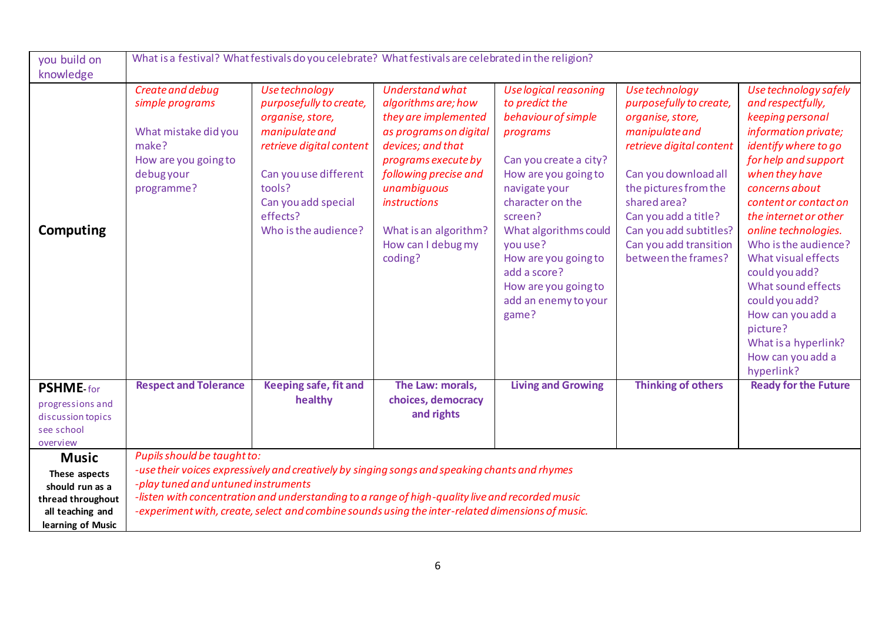| you build on                          | What is a festival? What festivals do you celebrate? What festivals are celebrated in the religion?                      |                                                                                                                                                                                                           |                                                                                                                                                                                                                                                                      |                                                                                                                                                                                                                                                                                                                           |                                                                                                                                                                                                                                                                                 |                                                                                                                                                                                                                                                                                                                                                                                                                                                           |  |
|---------------------------------------|--------------------------------------------------------------------------------------------------------------------------|-----------------------------------------------------------------------------------------------------------------------------------------------------------------------------------------------------------|----------------------------------------------------------------------------------------------------------------------------------------------------------------------------------------------------------------------------------------------------------------------|---------------------------------------------------------------------------------------------------------------------------------------------------------------------------------------------------------------------------------------------------------------------------------------------------------------------------|---------------------------------------------------------------------------------------------------------------------------------------------------------------------------------------------------------------------------------------------------------------------------------|-----------------------------------------------------------------------------------------------------------------------------------------------------------------------------------------------------------------------------------------------------------------------------------------------------------------------------------------------------------------------------------------------------------------------------------------------------------|--|
| knowledge                             |                                                                                                                          |                                                                                                                                                                                                           |                                                                                                                                                                                                                                                                      |                                                                                                                                                                                                                                                                                                                           |                                                                                                                                                                                                                                                                                 |                                                                                                                                                                                                                                                                                                                                                                                                                                                           |  |
| Computing                             | Create and debug<br>simple programs<br>What mistake did you<br>make?<br>How are you going to<br>debug your<br>programme? | Use technology<br>purposefully to create,<br>organise, store,<br>manipulate and<br>retrieve digital content<br>Can you use different<br>tools?<br>Can you add special<br>effects?<br>Who is the audience? | <b>Understand what</b><br>algorithms are; how<br>they are implemented<br>as programs on digital<br>devices; and that<br>programs execute by<br>following precise and<br>unambiquous<br><i>instructions</i><br>What is an algorithm?<br>How can I debug my<br>coding? | <b>Use logical reasoning</b><br>to predict the<br>behaviour of simple<br>programs<br>Can you create a city?<br>How are you going to<br>navigate your<br>character on the<br>screen?<br>What algorithms could<br>you use?<br>How are you going to<br>add a score?<br>How are you going to<br>add an enemy to your<br>game? | Use technology<br>purposefully to create,<br>organise, store,<br>manipulate and<br>retrieve digital content<br>Can you download all<br>the pictures from the<br>shared area?<br>Can you add a title?<br>Can you add subtitles?<br>Can you add transition<br>between the frames? | Use technology safely<br>and respectfully,<br>keeping personal<br>information private;<br>identify where to go<br>for help and support<br>when they have<br>concerns about<br>content or contact on<br>the internet or other<br>online technologies.<br>Who is the audience?<br>What visual effects<br>could you add?<br>What sound effects<br>could you add?<br>How can you add a<br>picture?<br>What is a hyperlink?<br>How can you add a<br>hyperlink? |  |
| <b>PSHME-for</b>                      | <b>Respect and Tolerance</b>                                                                                             | <b>Keeping safe, fit and</b><br>healthy                                                                                                                                                                   | The Law: morals,<br>choices, democracy                                                                                                                                                                                                                               | <b>Living and Growing</b>                                                                                                                                                                                                                                                                                                 | <b>Thinking of others</b>                                                                                                                                                                                                                                                       | <b>Ready for the Future</b>                                                                                                                                                                                                                                                                                                                                                                                                                               |  |
| progressions and<br>discussion topics |                                                                                                                          |                                                                                                                                                                                                           | and rights                                                                                                                                                                                                                                                           |                                                                                                                                                                                                                                                                                                                           |                                                                                                                                                                                                                                                                                 |                                                                                                                                                                                                                                                                                                                                                                                                                                                           |  |
| see school                            |                                                                                                                          |                                                                                                                                                                                                           |                                                                                                                                                                                                                                                                      |                                                                                                                                                                                                                                                                                                                           |                                                                                                                                                                                                                                                                                 |                                                                                                                                                                                                                                                                                                                                                                                                                                                           |  |
| overview                              |                                                                                                                          |                                                                                                                                                                                                           |                                                                                                                                                                                                                                                                      |                                                                                                                                                                                                                                                                                                                           |                                                                                                                                                                                                                                                                                 |                                                                                                                                                                                                                                                                                                                                                                                                                                                           |  |
| <b>Music</b>                          | Pupils should be taught to:                                                                                              | -use their voices expressively and creatively by singing songs and speaking chants and rhymes                                                                                                             |                                                                                                                                                                                                                                                                      |                                                                                                                                                                                                                                                                                                                           |                                                                                                                                                                                                                                                                                 |                                                                                                                                                                                                                                                                                                                                                                                                                                                           |  |
| These aspects                         | -play tuned and untuned instruments                                                                                      |                                                                                                                                                                                                           |                                                                                                                                                                                                                                                                      |                                                                                                                                                                                                                                                                                                                           |                                                                                                                                                                                                                                                                                 |                                                                                                                                                                                                                                                                                                                                                                                                                                                           |  |
| should run as a<br>thread throughout  |                                                                                                                          | -listen with concentration and understanding to a range of high-quality live and recorded music                                                                                                           |                                                                                                                                                                                                                                                                      |                                                                                                                                                                                                                                                                                                                           |                                                                                                                                                                                                                                                                                 |                                                                                                                                                                                                                                                                                                                                                                                                                                                           |  |
| all teaching and                      |                                                                                                                          | -experiment with, create, select and combine sounds using the inter-related dimensions of music.                                                                                                          |                                                                                                                                                                                                                                                                      |                                                                                                                                                                                                                                                                                                                           |                                                                                                                                                                                                                                                                                 |                                                                                                                                                                                                                                                                                                                                                                                                                                                           |  |
| learning of Music                     |                                                                                                                          |                                                                                                                                                                                                           |                                                                                                                                                                                                                                                                      |                                                                                                                                                                                                                                                                                                                           |                                                                                                                                                                                                                                                                                 |                                                                                                                                                                                                                                                                                                                                                                                                                                                           |  |